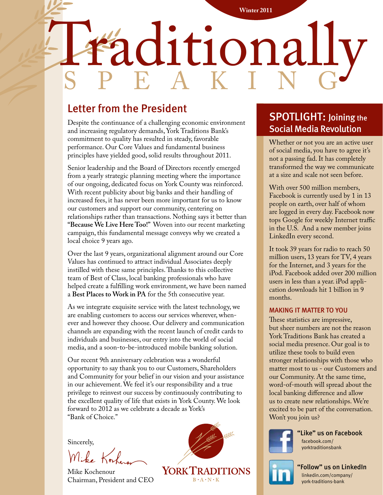# Regional Medical Imaging **Winter 2011** Haditionally speak i ng

# Letter from the President

Despite the continuance of a challenging economic environment and increasing regulatory demands, York Traditions Bank's commitment to quality has resulted in steady, favorable performance. Our Core Values and fundamental business principles have yielded good, solid results throughout 2011.

Senior leadership and the Board of Directors recently emerged from a yearly strategic planning meeting where the importance of our ongoing, dedicated focus on York County was reinforced. With recent publicity about big banks and their handling of increased fees, it has never been more important for us to know our customers and support our community, centering on relationships rather than transactions. Nothing says it better than **"Because We Live Here Too!"** Woven into our recent marketing campaign, this fundamental message conveys why we created a local choice 9 years ago.

Over the last 9 years, organizational alignment around our Core Values has continued to attract individual Associates deeply instilled with these same principles. Thanks to this collective team of Best of Class, local banking professionals who have helped create a fulfilling work environment, we have been named a **Best Places to Work in PA** for the 5th consecutive year.

As we integrate exquisite service with the latest technology, we are enabling customers to access our services wherever, whenever and however they choose. Our delivery and communication channels are expanding with the recent launch of credit cards to individuals and businesses, our entry into the world of social media, and a soon-to-be-introduced mobile banking solution.

Our recent 9th anniversary celebration was a wonderful opportunity to say thank you to our Customers, Shareholders and Community for your belief in our vision and your assistance in our achievement. We feel it's our responsibility and a true privilege to reinvest our success by continuously contributing to the excellent quality of life that exists in York County. We look forward to 2012 as we celebrate a decade as York's "Bank of Choice."

Sincerely,

Mike Kochenour Chairman, President and CEO



# **SPOTLIGHT: Joining the** Social Media Revolution

Whether or not you are an active user of social media, you have to agree it's not a passing fad. It has completely transformed the way we communicate at a size and scale not seen before.

With over 500 million members, Facebook is currently used by 1 in 13 people on earth, over half of whom are logged in every day. Facebook now tops Google for weekly Internet traffic in the U.S. And a new member joins LinkedIn every second.

It took 39 years for radio to reach 50 million users, 13 years for TV, 4 years for the Internet, and 3 years for the iPod. Facebook added over 200 million users in less than a year. iPod application downloads hit 1 billion in 9 months.

#### MAKING IT MATTER TO YOU

These statistics are impressive, but sheer numbers are not the reason York Traditions Bank has created a social media presence. Our goal is to utilize these tools to build even stronger relationships with those who matter most to us - our Customers and our Community. At the same time, word-of-mouth will spread about the local banking difference and allow us to create new relationships. We're excited to be part of the conversation. Won't you join us?



"Like" us on Facebook facebook.com/ yorktraditionsbank



"Follow" us on LinkedIn linkedin.com/company/ york-traditions-bank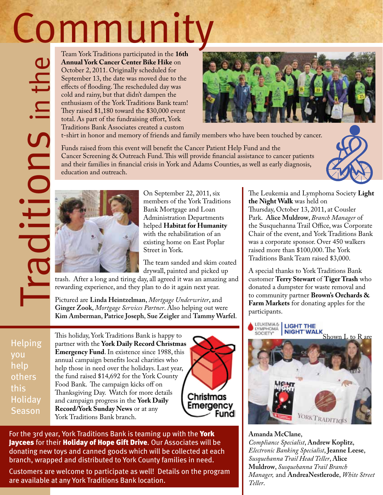# **Community**

Team York Traditions participated in the **16th Annual York Cancer Center Bike Hike** on October 2, 2011. Originally scheduled for September 13, the date was moved due to the effects of flooding. The rescheduled day was cold and rainy, but that didn't dampen the enthusiasm of the York Traditions Bank team! They raised \$1,180 toward the \$30,000 event total. As part of the fundraising effort, York Traditions Bank Associates created a custom **Configured its constrained**<br>
Cottober 2, 2011. Originally scheduled for<br>
september 13, the date was moved the to the series of flooding. The rescheduled day was<br>
cold and rainy, but that didn't dampen the<br>
embusian of the



t-shirt in honor and memory of friends and family members who have been touched by cancer.

Funds raised from this event will benefit the Cancer Patient Help Fund and the Cancer Screening & Outreach Fund. This will provide financial assistance to cancer patients and their families in financial crisis in York and Adams Counties, as well as early diagnosis, education and outreach.



On September 22, 2011, six members of the York Traditions Bank Mortgage and Loan Administration Departments helped **Habitat for Humanity** with the rehabilitation of an existing home on East Poplar Street in York.

The team sanded and skim coated drywall, painted and picked up

rewarding experience, and they plan to do it again next year.

Pictured are **Linda Heintzelman**, *Mortgage Underwriter*, and **Ginger Zook**, *Mortgage Services Partner*. Also helping out were **Kim Amberman**, **Patrice Joseph**, **Sue Zeigler** and **Tammy Warfel**.

**Helping** you help others this Holiday **Season** 

Traditions in the

This holiday, York Traditions Bank is happy to partner with the **York Daily Record Christmas Emergency Fund**. In existence since 1988, this annual campaign benefits local charities who help those in need over the holidays. Last year, the fund raised \$14,692 for the York County Food Bank. The campaign kicks off on Thanksgiving Day. Watch for more details and campaign progress in the **York Daily Record/York Sunday News** or at any York Traditions Bank branch.



For the 3rd year, York Traditions Bank is teaming up with the York Jaycees for their Holiday of Hope Gift Drive. Our Associates will be donating new toys and canned goods which will be collected at each branch, wrapped and distributed to York County families in need.

Customers are welcome to participate as well! Details on the program are available at any York Traditions Bank location.

The Leukemia and Lymphoma Society **Light the Night Walk** was held on

Thursday, October 13, 2011, at Cousler Park. **Alice Muldrow**, *Branch Manager* of the Susquehanna Trail Office, was Corporate Chair of the event, and York Traditions Bank was a corporate sponsor. Over 450 walkers raised more than \$100,000. The York Traditions Bank Team raised \$3,000.

A special thanks to York Traditions Bank customer **Terry Stewart** of **Tiger Trash** who donated a dumpster for waste removal and to community partner **Brown's Orchards & Farm Markets** for donating apples for the participants.

LEUKEMIA & LIGHT THE LIGHT WALK<br>NIGHT WALK<br>Shown L to R are SOCIETY\*



**Amanda McClane**, *Compliance Specialist*, **Andrew Koplitz**, *Electronic Banking Specialist*, **Jeanne Leese**, *Susquehanna Trail Head Teller*, **Alice Muldrow**, *Susquehanna Trail Branch Manager,* and **AndreaNestlerode**, *White Street Teller*.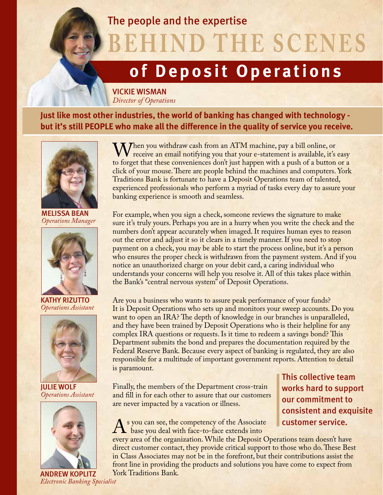### The people and the expertise

**BEHIND THE SCENES** 

# **of Deposit Operations**

VICKIE WISMAN *Director of Operations*

**Just like most other industries, the world of banking has changed with technology but it's still PEOPLE who make all the difference in the quality of service you receive.**



melissa beaN *Operations Manager*



KATHY RIZUTTO *Operations Assistant*



Julie wolf *Operations Assistant*



When you withdraw cash from an ATM machine, pay a bill online, or<br>to forget that these conveniences don't just happen with a push of a button or a to forget that these conveniences don't just happen with a push of a button or a click of your mouse. There are people behind the machines and computers. York Traditions Bank is fortunate to have a Deposit Operations team of talented, experienced professionals who perform a myriad of tasks every day to assure your banking experience is smooth and seamless.

For example, when you sign a check, someone reviews the signature to make sure it's truly yours. Perhaps you are in a hurry when you write the check and the numbers don't appear accurately when imaged. It requires human eyes to reason out the error and adjust it so it clears in a timely manner. If you need to stop payment on a check, you may be able to start the process online, but it's a person who ensures the proper check is withdrawn from the payment system. And if you notice an unauthorized charge on your debit card, a caring individual who understands your concerns will help you resolve it. All of this takes place within the Bank's "central nervous system" of Deposit Operations.

Are you a business who wants to assure peak performance of your funds? It is Deposit Operations who sets up and monitors your sweep accounts. Do you want to open an IRA? The depth of knowledge in our branches is unparalleled, and they have been trained by Deposit Operations who is their helpline for any complex IRA questions or requests. Is it time to redeem a savings bond? This Department submits the bond and prepares the documentation required by the Federal Reserve Bank. Because every aspect of banking is regulated, they are also responsible for a multitude of important government reports. Attention to detail is paramount.

Finally, the members of the Department cross-train and fill in for each other to assure that our customers are never impacted by a vacation or illness.

As you can see, the competency of the Associate<br>base you deal with face-to-face extends into<br>every area of the organization. While the Denosit (

This collective team works hard to support our commitment to consistent and exquisite customer service.

every area of the organization. While the Deposit Operations team doesn't have direct customer contact, they provide critical support to those who do. These Best in Class Associates may not be in the forefront, but their contributions assist the front line in providing the products and solutions you have come to expect from York Traditions Bank.

*Electronic Banking Specialist*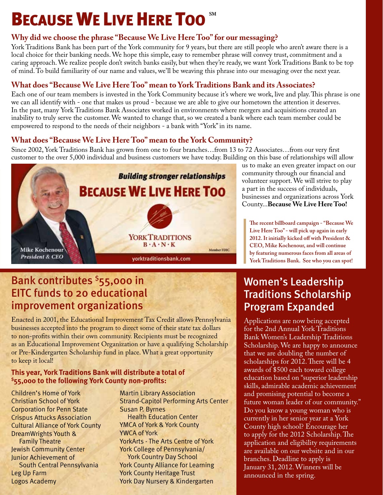# **BECAUSE WE LIVE HERE TOO**

#### **Why did we choose the phrase "Because We Live Here Too" for our messaging?**

York Traditions Bank has been part of the York community for 9 years, but there are still people who aren't aware there is a local choice for their banking needs. We hope this simple, easy to remember phrase will convey trust, commitment and a caring approach. We realize people don't switch banks easily, but when they're ready, we want York Traditions Bank to be top of mind. To build familiarity of our name and values, we'll be weaving this phrase into our messaging over the next year.

#### **What does "Because We Live Here Too" mean to York Traditions Bank and its Associates?**

Each one of our team members is invested in the York Community because it's where we work, live and play. This phrase is one we can all identify with - one that makes us proud - because we are able to give our hometown the attention it deserves. In the past, many York Traditions Bank Associates worked in environments where mergers and acquisitions created an inability to truly serve the customer. We wanted to change that, so we created a bank where each team member could be empowered to respond to the needs of their neighbors - a bank with "York" in its name.

#### **What does "Because We Live Here Too" mean to the York Community?**

Since 2002, York Traditions Bank has grown from one to four branches…from 13 to 72 Associates…from our very first customer to the over 5,000 individual and business customers we have today. Building on this base of relationships will allow



us to make an even greater impact on our community through our financial and volunteer support. We will strive to play a part in the success of individuals, businesses and organizations across York County...**Because We Live Here Too!**

**The recent billboard campaign - "Because We Live Here Too" - will pick up again in early 2012. It initially kicked off with President & CEO, Mike Kochenour, and will continue by featuring numerous faces from all areas of York Traditions Bank. See who you can spot!**

### Bank contributes <sup>\$</sup>55,000 in EITC funds to 20 educational improvement organizations

Enacted in 2001, the Educational Improvement Tax Credit allows Pennsylvania businesses accepted into the program to direct some of their state tax dollars to non-profits within their own community. Recipients must be recognized as an Educational Improvement Organization or have a qualifying Scholarship or Pre-Kindergarten Scholarship fund in place. What a great opportunity to keep it local!

#### **This year, York Traditions Bank will distribute a total of \$55,000 to the following York County non-profits:**

Children's Home of York Christian School of York Corporation for Penn State Crispus Attucks Association Cultural Alliance of York County DreamWrights Youth & Family Theatre Jewish Community Center Junior Achievement of South Central Pennsylvania Leg Up Farm Logos Academy

Martin Library Association Strand-Capitol Performing Arts Center Susan P. Byrnes Health Education Center YMCA of York & York County YWCA of York YorkArts - The Arts Centre of York York College of Pennsylvania/ York Country Day School York County Alliance for Learning York County Heritage Trust York Day Nursery & Kindergarten

# Women's Leadership Traditions Scholarship Program Expanded

Applications are now being accepted for the 2nd Annual York Traditions Bank Women's Leadership Traditions Scholarship. We are happy to announce that we are doubling the number of scholarships for 2012. There will be 4 awards of \$500 each toward college education based on "superior leadership skills, admirable academic achievement and promising potential to become a future woman leader of our community." Do you know a young woman who is currently in her senior year at a York County high school? Encourage her to apply for the 2012 Scholarship. The application and eligibility requirements are available on our website and in our branches. Deadline to apply is January 31, 2012. Winners will be announced in the spring.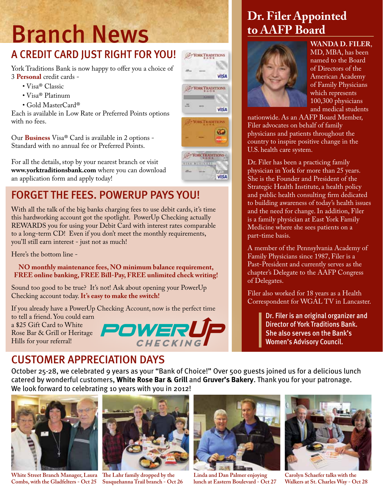# Branch News

# A CREDIT CARD JUST RIGHT FOR YOU!

York Traditions Bank is now happy to offer you a choice of 3 **Personal** credit cards -

- Visa® Classic
- Visa® Platinum
- Gold MasterCard®

Each is available in Low Rate or Preferred Points options with no fees.

Our **Business** Visa® Card is available in 2 options - Standard with no annual fee or Preferred Points.

For all the details, stop by your nearest branch or visit **www.yorktraditionsbank.com** where you can download an application form and apply today!

# FORGET THE FEES. POWERUP PAYS YOU!

With all the talk of the big banks charging fees to use debit cards, it's time this hardworking account got the spotlight. PowerUp Checking actually REWARDS you for using your Debit Card with interest rates comparable to a long-term CD! Even if you don't meet the monthly requirements, you'll still earn interest - just not as much!

Here's the bottom line -

**NO monthly maintenance fees, NO minimum balance requirement, FREE online banking, FREE Bill-Pay, FREE unlimited check writing!**

Sound too good to be true? It's not! Ask about opening your PowerUp Checking account today. **It's easy to make the switch!**

If you already have a PowerUp Checking Account, now is the perfect time to tell a friend. You could earn a \$25 Gift Card to White Rose Bar & Grill or Heritage Hills for your referral!

# CUSTOMER APPRECIATION DAYS

October 25-28, we celebrated 9 years as your "Bank of Choice!" Over 500 guests joined us for a delicious lunch catered by wonderful customers, **White Rose Bar & Grill** and **Gruver's Bakery**. Thank you for your patronage. We look forward to celebrating 10 years with you in 2012!



**White Street Branch Manager, Laura The Lahr family dropped by the Combs, with the Gladfelters - Oct 25 Susquehanna Trail branch - Oct 26**





**Linda and Dan Palmer enjoying lunch at Eastern Boulevard - Oct 27**

# **Dr. Filer Appointed to AAFP Board**



**WANDA D. FILER**, MD, MBA, has been named to the Board of Directors of the American Academy of Family Physicians which represents 100,300 physicians and medical students

nationwide. As an AAFP Board Member, Filer advocates on behalf of family physicians and patients throughout the country to inspire positive change in the U.S. health care system.

Dr. Filer has been a practicing family physician in York for more than 25 years. She is the Founder and President of the Strategic Health Institute, a health policy and public health consulting firm dedicated to building awareness of today's health issues and the need for change. In addition, Filer is a family physician at East York Family Medicine where she sees patients on a part-time basis.

A member of the Pennsylvania Academy of Family Physicians since 1987, Filer is a Past-President and currently serves as the chapter's Delegate to the AAFP Congress of Delegates.

Filer also worked for 18 years as a Health Correspondent for WGAL TV in Lancaster.

> Dr. Filer is an original organizer and Director of York Traditions Bank. She also serves on the Bank's Women's Advisory Council.



**Carolyn Schaefer talks with the Walkers at St. Charles Way - Oct 28**



**VISA**